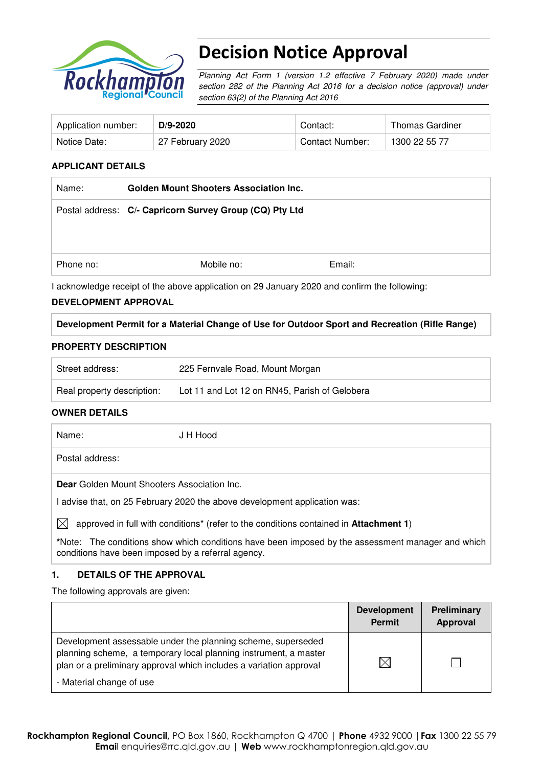

# Decision Notice Approval

Planning Act Form 1 (version 1.2 effective 7 February 2020) made under section 282 of the Planning Act 2016 for a decision notice (approval) under section 63(2) of the Planning Act 2016

| Application number: | $D/9 - 2020$     | Contact:               | <b>Thomas Gardiner</b> |
|---------------------|------------------|------------------------|------------------------|
| Notice Date:        | 27 February 2020 | <b>Contact Number:</b> | 1300 22 55 77          |

## **APPLICANT DETAILS**

| Mobile no: | Email: |                                                                                                          |
|------------|--------|----------------------------------------------------------------------------------------------------------|
|            |        | <b>Golden Mount Shooters Association Inc.</b><br>Postal address: C/- Capricorn Survey Group (CQ) Pty Ltd |

I acknowledge receipt of the above application on 29 January 2020 and confirm the following:

## **DEVELOPMENT APPROVAL**

## **Development Permit for a Material Change of Use for Outdoor Sport and Recreation (Rifle Range)**

### **PROPERTY DESCRIPTION**

| Street address:            | 225 Fernvale Road, Mount Morgan               |
|----------------------------|-----------------------------------------------|
| Real property description: | Lot 11 and Lot 12 on RN45, Parish of Gelobera |

### **OWNER DETAILS**

Name: J H Hood Postal address: **Dear** Golden Mount Shooters Association Inc. I advise that, on 25 February 2020 the above development application was:

 $\boxtimes$  approved in full with conditions<sup>\*</sup> (refer to the conditions contained in **Attachment 1**)

**\***Note:The conditions show which conditions have been imposed by the assessment manager and which conditions have been imposed by a referral agency.

## **1. DETAILS OF THE APPROVAL**

The following approvals are given:

|                                                                                                                                                                                                                                    | <b>Development</b><br>Permit | Preliminary<br>Approval |
|------------------------------------------------------------------------------------------------------------------------------------------------------------------------------------------------------------------------------------|------------------------------|-------------------------|
| Development assessable under the planning scheme, superseded<br>planning scheme, a temporary local planning instrument, a master<br>plan or a preliminary approval which includes a variation approval<br>- Material change of use | $\boxtimes$                  |                         |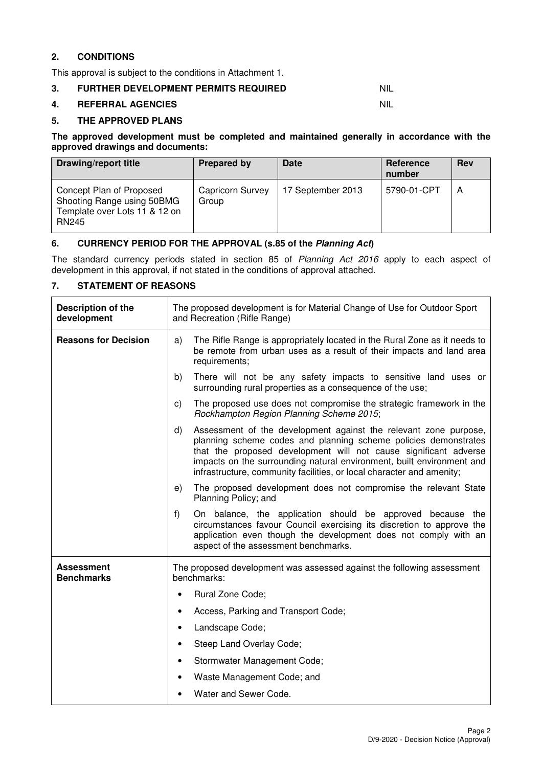## **2. CONDITIONS**

This approval is subject to the conditions in Attachment 1.

## **3. FURTHER DEVELOPMENT PERMITS REQUIRED NIL**

### **4. REFERRAL AGENCIES** NIL

### **5. THE APPROVED PLANS**

#### **The approved development must be completed and maintained generally in accordance with the approved drawings and documents:**

| Drawing/report title                                                                                    | Prepared by                      | Date              | Reference<br>number | <b>Rev</b> |
|---------------------------------------------------------------------------------------------------------|----------------------------------|-------------------|---------------------|------------|
| Concept Plan of Proposed<br>Shooting Range using 50BMG<br>Template over Lots 11 & 12 on<br><b>RN245</b> | <b>Capricorn Survey</b><br>Group | 17 September 2013 | 5790-01-CPT         | А          |

## **6. CURRENCY PERIOD FOR THE APPROVAL (s.85 of the Planning Act)**

The standard currency periods stated in section 85 of Planning Act 2016 apply to each aspect of development in this approval, if not stated in the conditions of approval attached.

## **7. STATEMENT OF REASONS**

| Description of the<br>development      |    | The proposed development is for Material Change of Use for Outdoor Sport<br>and Recreation (Rifle Range)                                                                                                                                                                                                                                                  |  |  |  |
|----------------------------------------|----|-----------------------------------------------------------------------------------------------------------------------------------------------------------------------------------------------------------------------------------------------------------------------------------------------------------------------------------------------------------|--|--|--|
| <b>Reasons for Decision</b>            | a) | The Rifle Range is appropriately located in the Rural Zone as it needs to<br>be remote from urban uses as a result of their impacts and land area<br>requirements;                                                                                                                                                                                        |  |  |  |
|                                        | b) | There will not be any safety impacts to sensitive land uses or<br>surrounding rural properties as a consequence of the use;                                                                                                                                                                                                                               |  |  |  |
|                                        | C) | The proposed use does not compromise the strategic framework in the<br>Rockhampton Region Planning Scheme 2015;                                                                                                                                                                                                                                           |  |  |  |
|                                        | d) | Assessment of the development against the relevant zone purpose,<br>planning scheme codes and planning scheme policies demonstrates<br>that the proposed development will not cause significant adverse<br>impacts on the surrounding natural environment, built environment and<br>infrastructure, community facilities, or local character and amenity; |  |  |  |
|                                        | e) | The proposed development does not compromise the relevant State<br>Planning Policy; and                                                                                                                                                                                                                                                                   |  |  |  |
|                                        | f) | On balance, the application should be approved because the<br>circumstances favour Council exercising its discretion to approve the<br>application even though the development does not comply with an<br>aspect of the assessment benchmarks.                                                                                                            |  |  |  |
| <b>Assessment</b><br><b>Benchmarks</b> |    | The proposed development was assessed against the following assessment<br>benchmarks:                                                                                                                                                                                                                                                                     |  |  |  |
|                                        |    | Rural Zone Code;                                                                                                                                                                                                                                                                                                                                          |  |  |  |
|                                        |    | Access, Parking and Transport Code;                                                                                                                                                                                                                                                                                                                       |  |  |  |
|                                        |    | Landscape Code;                                                                                                                                                                                                                                                                                                                                           |  |  |  |
|                                        |    | Steep Land Overlay Code;                                                                                                                                                                                                                                                                                                                                  |  |  |  |
|                                        |    | Stormwater Management Code;                                                                                                                                                                                                                                                                                                                               |  |  |  |
|                                        |    | Waste Management Code; and                                                                                                                                                                                                                                                                                                                                |  |  |  |
|                                        |    | Water and Sewer Code.                                                                                                                                                                                                                                                                                                                                     |  |  |  |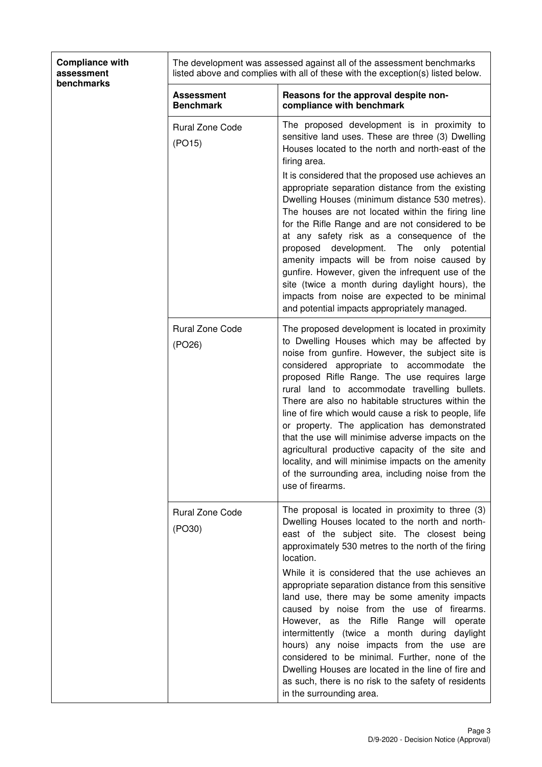| <b>Compliance with</b><br>assessment<br>benchmarks |                                       | The development was assessed against all of the assessment benchmarks<br>listed above and complies with all of these with the exception(s) listed below.                                                                                                                                                                                                                                                                                                                                                                                                                                                                                                                                                                                                                                                   |  |  |
|----------------------------------------------------|---------------------------------------|------------------------------------------------------------------------------------------------------------------------------------------------------------------------------------------------------------------------------------------------------------------------------------------------------------------------------------------------------------------------------------------------------------------------------------------------------------------------------------------------------------------------------------------------------------------------------------------------------------------------------------------------------------------------------------------------------------------------------------------------------------------------------------------------------------|--|--|
|                                                    | <b>Assessment</b><br><b>Benchmark</b> | Reasons for the approval despite non-<br>compliance with benchmark                                                                                                                                                                                                                                                                                                                                                                                                                                                                                                                                                                                                                                                                                                                                         |  |  |
|                                                    | <b>Rural Zone Code</b><br>(PO15)      | The proposed development is in proximity to<br>sensitive land uses. These are three (3) Dwelling<br>Houses located to the north and north-east of the<br>firing area.<br>It is considered that the proposed use achieves an<br>appropriate separation distance from the existing<br>Dwelling Houses (minimum distance 530 metres).<br>The houses are not located within the firing line<br>for the Rifle Range and are not considered to be<br>at any safety risk as a consequence of the<br>development.<br>The<br>only<br>proposed<br>potential<br>amenity impacts will be from noise caused by<br>gunfire. However, given the infrequent use of the<br>site (twice a month during daylight hours), the<br>impacts from noise are expected to be minimal<br>and potential impacts appropriately managed. |  |  |
|                                                    | <b>Rural Zone Code</b><br>(PO26)      | The proposed development is located in proximity<br>to Dwelling Houses which may be affected by<br>noise from gunfire. However, the subject site is<br>considered appropriate to accommodate the<br>proposed Rifle Range. The use requires large<br>rural land to accommodate travelling bullets.<br>There are also no habitable structures within the<br>line of fire which would cause a risk to people, life<br>or property. The application has demonstrated<br>that the use will minimise adverse impacts on the<br>agricultural productive capacity of the site and<br>locality, and will minimise impacts on the amenity<br>of the surrounding area, including noise from the<br>use of firearms.                                                                                                   |  |  |
|                                                    | <b>Rural Zone Code</b><br>(PO30)      | The proposal is located in proximity to three (3)<br>Dwelling Houses located to the north and north-<br>east of the subject site. The closest being<br>approximately 530 metres to the north of the firing<br>location.<br>While it is considered that the use achieves an<br>appropriate separation distance from this sensitive<br>land use, there may be some amenity impacts<br>caused by noise from the use of firearms.<br>However, as the Rifle Range will operate<br>intermittently (twice a month during daylight<br>hours) any noise impacts from the use are<br>considered to be minimal. Further, none of the<br>Dwelling Houses are located in the line of fire and<br>as such, there is no risk to the safety of residents<br>in the surrounding area.                                       |  |  |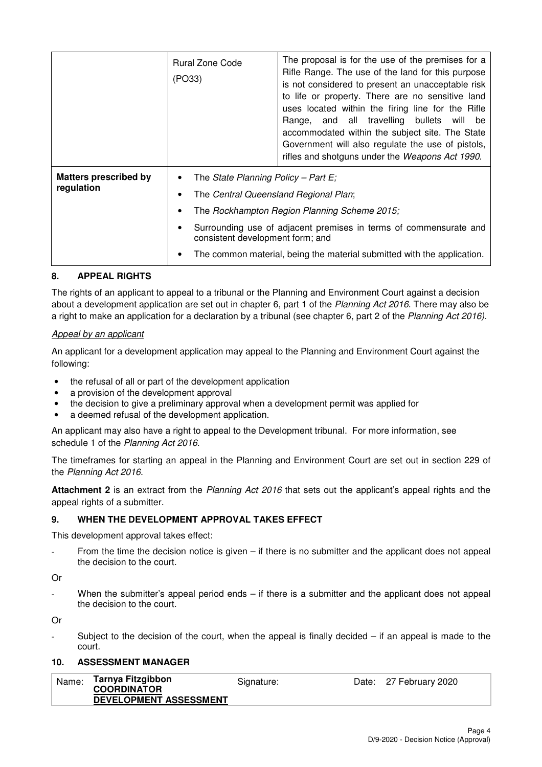|                                            | Rural Zone Code<br>(PO33)                                                                                        | The proposal is for the use of the premises for a<br>Rifle Range. The use of the land for this purpose<br>is not considered to present an unacceptable risk<br>to life or property. There are no sensitive land<br>uses located within the firing line for the Rifle<br>Range, and all travelling bullets<br>will be<br>accommodated within the subject site. The State<br>Government will also regulate the use of pistols,<br>rifles and shotguns under the Weapons Act 1990. |
|--------------------------------------------|------------------------------------------------------------------------------------------------------------------|---------------------------------------------------------------------------------------------------------------------------------------------------------------------------------------------------------------------------------------------------------------------------------------------------------------------------------------------------------------------------------------------------------------------------------------------------------------------------------|
| <b>Matters prescribed by</b><br>regulation | The State Planning Policy – Part E;<br>The Central Queensland Regional Plan;<br>consistent development form; and | The Rockhampton Region Planning Scheme 2015;<br>Surrounding use of adjacent premises in terms of commensurate and<br>The common material, being the material submitted with the application.                                                                                                                                                                                                                                                                                    |

## **8. APPEAL RIGHTS**

The rights of an applicant to appeal to a tribunal or the Planning and Environment Court against a decision about a development application are set out in chapter 6, part 1 of the Planning Act 2016. There may also be a right to make an application for a declaration by a tribunal (see chapter 6, part 2 of the Planning Act 2016).

### Appeal by an applicant

An applicant for a development application may appeal to the Planning and Environment Court against the following:

- the refusal of all or part of the development application
- a provision of the development approval
- the decision to give a preliminary approval when a development permit was applied for
- a deemed refusal of the development application.

An applicant may also have a right to appeal to the Development tribunal. For more information, see schedule 1 of the Planning Act 2016.

The timeframes for starting an appeal in the Planning and Environment Court are set out in section 229 of the Planning Act 2016.

**Attachment 2** is an extract from the Planning Act 2016 that sets out the applicant's appeal rights and the appeal rights of a submitter.

#### **9. WHEN THE DEVELOPMENT APPROVAL TAKES EFFECT**

This development approval takes effect:

From the time the decision notice is given  $-$  if there is no submitter and the applicant does not appeal the decision to the court.

Or

When the submitter's appeal period ends  $-$  if there is a submitter and the applicant does not appeal the decision to the court.

Or

Subject to the decision of the court, when the appeal is finally decided  $-$  if an appeal is made to the court.

## **10. ASSESSMENT MANAGER**

| Name: | Tarnya Fitzgibbon<br><b>COORDINATOR</b> | Signature: | Date: 27 February 2020 |
|-------|-----------------------------------------|------------|------------------------|
|       | DEVELOPMENT ASSESSMENT                  |            |                        |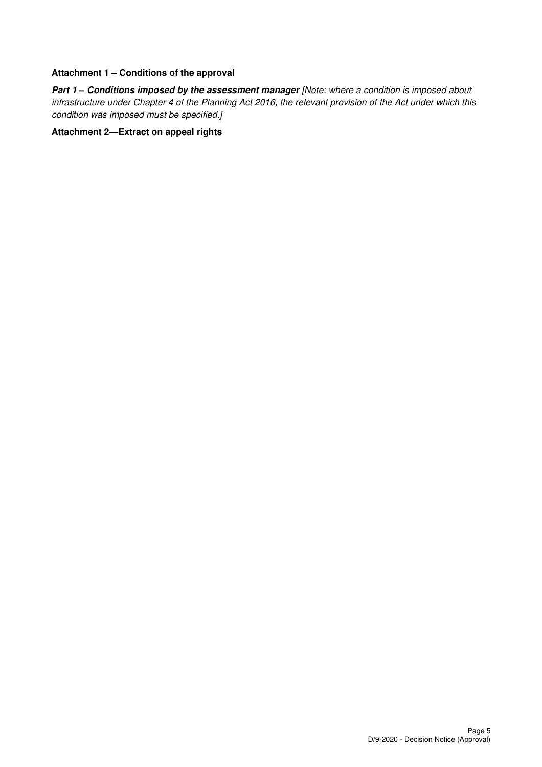### **Attachment 1 – Conditions of the approval**

**Part 1 – Conditions imposed by the assessment manager [Note: where a condition is imposed about** infrastructure under Chapter 4 of the Planning Act 2016, the relevant provision of the Act under which this condition was imposed must be specified.]

## **Attachment 2—Extract on appeal rights**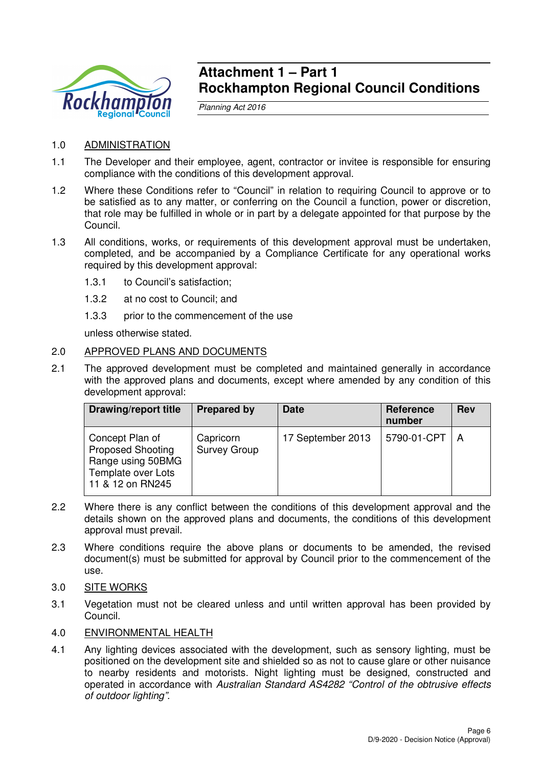

# **Attachment 1 – Part 1 Rockhampton Regional Council Conditions**

Planning Act 2016

# 1.0 ADMINISTRATION

- 1.1 The Developer and their employee, agent, contractor or invitee is responsible for ensuring compliance with the conditions of this development approval.
- 1.2 Where these Conditions refer to "Council" in relation to requiring Council to approve or to be satisfied as to any matter, or conferring on the Council a function, power or discretion, that role may be fulfilled in whole or in part by a delegate appointed for that purpose by the Council.
- 1.3 All conditions, works, or requirements of this development approval must be undertaken, completed, and be accompanied by a Compliance Certificate for any operational works required by this development approval:
	- 1.3.1 to Council's satisfaction;
	- 1.3.2 at no cost to Council; and
	- 1.3.3 prior to the commencement of the use

unless otherwise stated.

## 2.0 APPROVED PLANS AND DOCUMENTS

2.1 The approved development must be completed and maintained generally in accordance with the approved plans and documents, except where amended by any condition of this development approval:

| <b>Drawing/report title</b>                                                                                | <b>Prepared by</b>               | <b>Date</b>       | <b>Reference</b><br>number | <b>Rev</b> |
|------------------------------------------------------------------------------------------------------------|----------------------------------|-------------------|----------------------------|------------|
| Concept Plan of<br><b>Proposed Shooting</b><br>Range using 50BMG<br>Template over Lots<br>11 & 12 on RN245 | Capricorn<br><b>Survey Group</b> | 17 September 2013 | 5790-01-CPT                | A          |

- 2.2 Where there is any conflict between the conditions of this development approval and the details shown on the approved plans and documents, the conditions of this development approval must prevail.
- 2.3 Where conditions require the above plans or documents to be amended, the revised document(s) must be submitted for approval by Council prior to the commencement of the use.
- 3.0 SITE WORKS
- 3.1 Vegetation must not be cleared unless and until written approval has been provided by Council.
- 4.0 ENVIRONMENTAL HEALTH
- 4.1 Any lighting devices associated with the development, such as sensory lighting, must be positioned on the development site and shielded so as not to cause glare or other nuisance to nearby residents and motorists. Night lighting must be designed, constructed and operated in accordance with Australian Standard AS4282 "Control of the obtrusive effects of outdoor lighting".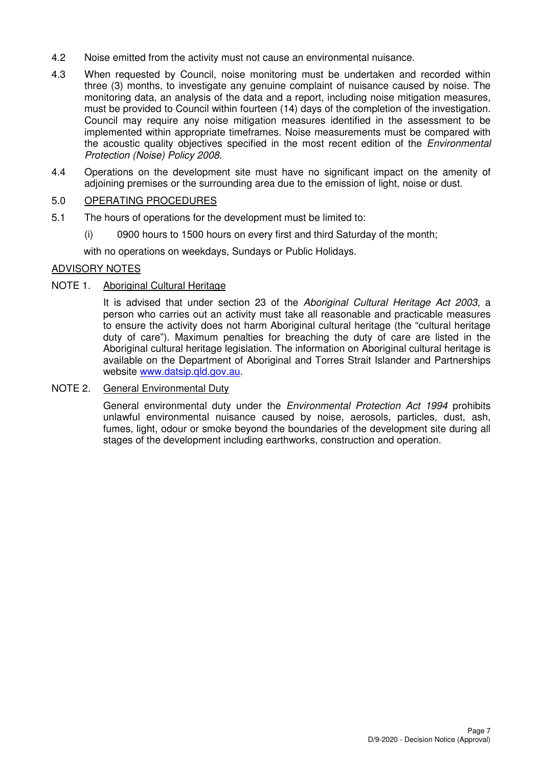- 4.2 Noise emitted from the activity must not cause an environmental nuisance.
- 4.3 When requested by Council, noise monitoring must be undertaken and recorded within three (3) months, to investigate any genuine complaint of nuisance caused by noise. The monitoring data, an analysis of the data and a report, including noise mitigation measures, must be provided to Council within fourteen (14) days of the completion of the investigation. Council may require any noise mitigation measures identified in the assessment to be implemented within appropriate timeframes. Noise measurements must be compared with the acoustic quality objectives specified in the most recent edition of the Environmental Protection (Noise) Policy 2008.
- 4.4 Operations on the development site must have no significant impact on the amenity of adjoining premises or the surrounding area due to the emission of light, noise or dust.

## 5.0 OPERATING PROCEDURES

- 5.1 The hours of operations for the development must be limited to:
	- (i) 0900 hours to 1500 hours on every first and third Saturday of the month;

with no operations on weekdays, Sundays or Public Holidays.

## ADVISORY NOTES

## NOTE 1. Aboriginal Cultural Heritage

It is advised that under section 23 of the Aboriginal Cultural Heritage Act 2003, a person who carries out an activity must take all reasonable and practicable measures to ensure the activity does not harm Aboriginal cultural heritage (the "cultural heritage duty of care"). Maximum penalties for breaching the duty of care are listed in the Aboriginal cultural heritage legislation. The information on Aboriginal cultural heritage is available on the Department of Aboriginal and Torres Strait Islander and Partnerships website www.datsip.qld.gov.au.

### NOTE 2. General Environmental Duty

General environmental duty under the *Environmental Protection Act 1994* prohibits unlawful environmental nuisance caused by noise, aerosols, particles, dust, ash, fumes, light, odour or smoke beyond the boundaries of the development site during all stages of the development including earthworks, construction and operation.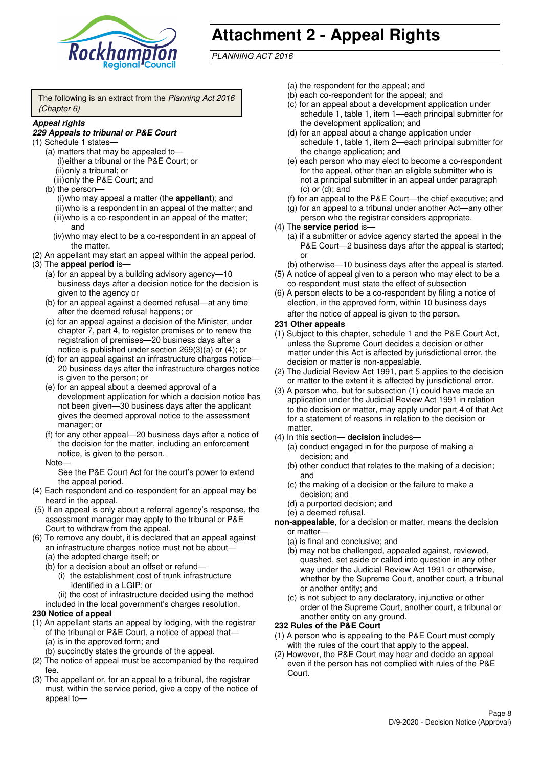

# **Attachment 2 - Appeal Rights**

PLANNING ACT 2016

The following is an extract from the Planning Act 2016 (Chapter 6)

#### **Appeal rights**

### **229 Appeals to tribunal or P&E Court**

- (1) Schedule 1 states—
	- (a) matters that may be appealed to— (i) either a tribunal or the P&E Court; or (ii) only a tribunal; or
	- (iii) only the P&E Court; and (b) the person—

(i) who may appeal a matter (the **appellant**); and (ii) who is a respondent in an appeal of the matter; and (iii) who is a co-respondent in an appeal of the matter; and

- (iv) who may elect to be a co-respondent in an appeal of the matter.
- (2) An appellant may start an appeal within the appeal period.
- (3) The **appeal period** is—
	- (a) for an appeal by a building advisory agency—10 business days after a decision notice for the decision is given to the agency or
	- (b) for an appeal against a deemed refusal—at any time after the deemed refusal happens; or
	- (c) for an appeal against a decision of the Minister, under chapter 7, part 4, to register premises or to renew the registration of premises—20 business days after a notice is published under section 269(3)(a) or (4); or
	- (d) for an appeal against an infrastructure charges notice— 20 business days after the infrastructure charges notice is given to the person; or
	- (e) for an appeal about a deemed approval of a development application for which a decision notice has not been given—30 business days after the applicant gives the deemed approval notice to the assessment manager; or
	- (f) for any other appeal—20 business days after a notice of the decision for the matter, including an enforcement notice, is given to the person.

#### Note—

See the P&E Court Act for the court's power to extend the appeal period.

- (4) Each respondent and co-respondent for an appeal may be heard in the appeal.
- (5) If an appeal is only about a referral agency's response, the assessment manager may apply to the tribunal or P&E Court to withdraw from the appeal.
- (6) To remove any doubt, it is declared that an appeal against an infrastructure charges notice must not be about—
	- (a) the adopted charge itself; or
	- (b) for a decision about an offset or refund—
		- (i) the establishment cost of trunk infrastructure identified in a LGIP; or
		- (ii) the cost of infrastructure decided using the method
	- included in the local government's charges resolution.

### **230 Notice of appeal**

- (1) An appellant starts an appeal by lodging, with the registrar of the tribunal or P&E Court, a notice of appeal that—
	- (a) is in the approved form; and
	- (b) succinctly states the grounds of the appeal.
- (2) The notice of appeal must be accompanied by the required fee.
- (3) The appellant or, for an appeal to a tribunal, the registrar must, within the service period, give a copy of the notice of appeal to—
- (a) the respondent for the appeal; and
- (b) each co-respondent for the appeal; and
- (c) for an appeal about a development application under schedule 1, table 1, item 1—each principal submitter for the development application; and
- (d) for an appeal about a change application under schedule 1, table 1, item 2—each principal submitter for the change application; and
- (e) each person who may elect to become a co-respondent for the appeal, other than an eligible submitter who is not a principal submitter in an appeal under paragraph  $(c)$  or  $(d)$ ; and
- (f) for an appeal to the P&E Court—the chief executive; and
- (g) for an appeal to a tribunal under another Act—any other person who the registrar considers appropriate.
- (4) The **service period** is—
	- (a) if a submitter or advice agency started the appeal in the P&E Court-2 business days after the appeal is started; or
	- (b) otherwise—10 business days after the appeal is started.
- (5) A notice of appeal given to a person who may elect to be a co-respondent must state the effect of subsection
- (6) A person elects to be a co-respondent by filing a notice of election, in the approved form, within 10 business days after the notice of appeal is given to the person*.*
- **231 Other appeals**
- (1) Subject to this chapter, schedule 1 and the P&E Court Act, unless the Supreme Court decides a decision or other matter under this Act is affected by jurisdictional error, the decision or matter is non-appealable.
- (2) The Judicial Review Act 1991, part 5 applies to the decision or matter to the extent it is affected by jurisdictional error.
- (3) A person who, but for subsection (1) could have made an application under the Judicial Review Act 1991 in relation to the decision or matter, may apply under part 4 of that Act for a statement of reasons in relation to the decision or matter.
- (4) In this section— **decision** includes—
	- (a) conduct engaged in for the purpose of making a decision; and
	- (b) other conduct that relates to the making of a decision; and
	- (c) the making of a decision or the failure to make a decision; and
	- (d) a purported decision; and
	- (e) a deemed refusal.

**non-appealable**, for a decision or matter, means the decision or matter—

- (a) is final and conclusive; and
- (b) may not be challenged, appealed against, reviewed, quashed, set aside or called into question in any other way under the Judicial Review Act 1991 or otherwise, whether by the Supreme Court, another court, a tribunal or another entity; and
- (c) is not subject to any declaratory, injunctive or other order of the Supreme Court, another court, a tribunal or another entity on any ground.

### **232 Rules of the P&E Court**

- (1) A person who is appealing to the P&E Court must comply with the rules of the court that apply to the appeal.
- (2) However, the P&E Court may hear and decide an appeal even if the person has not complied with rules of the P&E Court.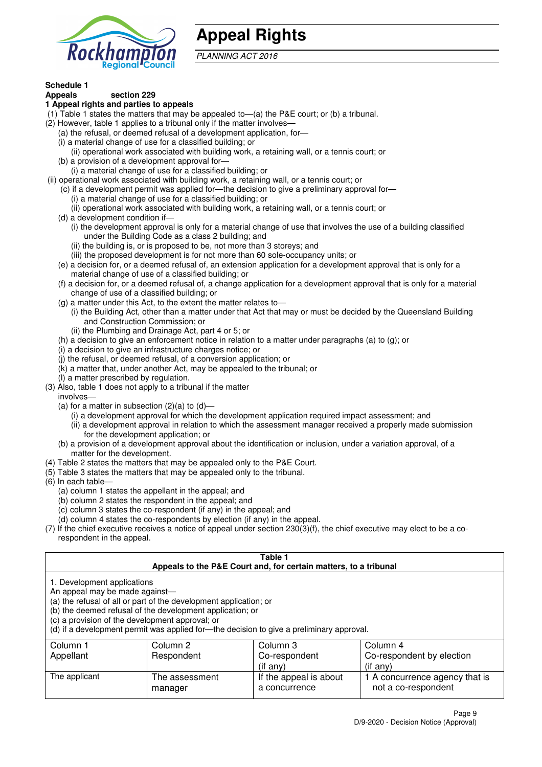

# **Appeal Rights**

PLANNING ACT 2016

# **Schedule 1**

#### **Appeals section 229 1 Appeal rights and parties to appeals**

- (1) Table 1 states the matters that may be appealed to—(a) the P&E court; or (b) a tribunal.
- (2) However, table 1 applies to a tribunal only if the matter involves—
	- (a) the refusal, or deemed refusal of a development application, for—
	- (i) a material change of use for a classified building; or
	- (ii) operational work associated with building work, a retaining wall, or a tennis court; or
	- (b) a provision of a development approval for—
	- (i) a material change of use for a classified building; or
- (ii) operational work associated with building work, a retaining wall, or a tennis court; or
	- (c) if a development permit was applied for—the decision to give a preliminary approval for— (i) a material change of use for a classified building; or
	- (ii) operational work associated with building work, a retaining wall, or a tennis court; or
	- (d) a development condition if—
		- (i) the development approval is only for a material change of use that involves the use of a building classified under the Building Code as a class 2 building; and
		- (ii) the building is, or is proposed to be, not more than 3 storeys; and
		- (iii) the proposed development is for not more than 60 sole-occupancy units; or
	- (e) a decision for, or a deemed refusal of, an extension application for a development approval that is only for a material change of use of a classified building; or
	- (f) a decision for, or a deemed refusal of, a change application for a development approval that is only for a material change of use of a classified building; or
	- (g) a matter under this Act, to the extent the matter relates to—
		- (i) the Building Act, other than a matter under that Act that may or must be decided by the Queensland Building and Construction Commission; or
		- (ii) the Plumbing and Drainage Act, part 4 or 5; or
	- (h) a decision to give an enforcement notice in relation to a matter under paragraphs (a) to (g); or
	- (i) a decision to give an infrastructure charges notice; or
	- (j) the refusal, or deemed refusal, of a conversion application; or
	- (k) a matter that, under another Act, may be appealed to the tribunal; or
	- (l) a matter prescribed by regulation.
- (3) Also, table 1 does not apply to a tribunal if the matter

involves—

- (a) for a matter in subsection  $(2)(a)$  to  $(d)$ 
	- (i) a development approval for which the development application required impact assessment; and
	- (ii) a development approval in relation to which the assessment manager received a properly made submission for the development application; or
- (b) a provision of a development approval about the identification or inclusion, under a variation approval, of a matter for the development.
- (4) Table 2 states the matters that may be appealed only to the P&E Court.
- (5) Table 3 states the matters that may be appealed only to the tribunal.
- (6) In each table—
	- (a) column 1 states the appellant in the appeal; and
	- (b) column 2 states the respondent in the appeal; and
	- (c) column 3 states the co-respondent (if any) in the appeal; and
	- (d) column 4 states the co-respondents by election (if any) in the appeal.
- (7) If the chief executive receives a notice of appeal under section 230(3)(f), the chief executive may elect to be a corespondent in the appeal.

| Table 1<br>Appeals to the P&E Court and, for certain matters, to a tribunal                                                                                                                                                                                                                                                                    |                           |                                         |                                                       |  |
|------------------------------------------------------------------------------------------------------------------------------------------------------------------------------------------------------------------------------------------------------------------------------------------------------------------------------------------------|---------------------------|-----------------------------------------|-------------------------------------------------------|--|
| 1. Development applications<br>An appeal may be made against-<br>(a) the refusal of all or part of the development application; or<br>(b) the deemed refusal of the development application; or<br>(c) a provision of the development approval; or<br>(d) if a development permit was applied for-the decision to give a preliminary approval. |                           |                                         |                                                       |  |
| Column 1                                                                                                                                                                                                                                                                                                                                       | Column 2                  | Column 3                                | Column 4                                              |  |
| Appellant                                                                                                                                                                                                                                                                                                                                      | Respondent                | Co-respondent                           | Co-respondent by election                             |  |
|                                                                                                                                                                                                                                                                                                                                                |                           | $($ if any $)$                          | $(i$ f any)                                           |  |
| The applicant                                                                                                                                                                                                                                                                                                                                  | The assessment<br>manager | If the appeal is about<br>a concurrence | 1 A concurrence agency that is<br>not a co-respondent |  |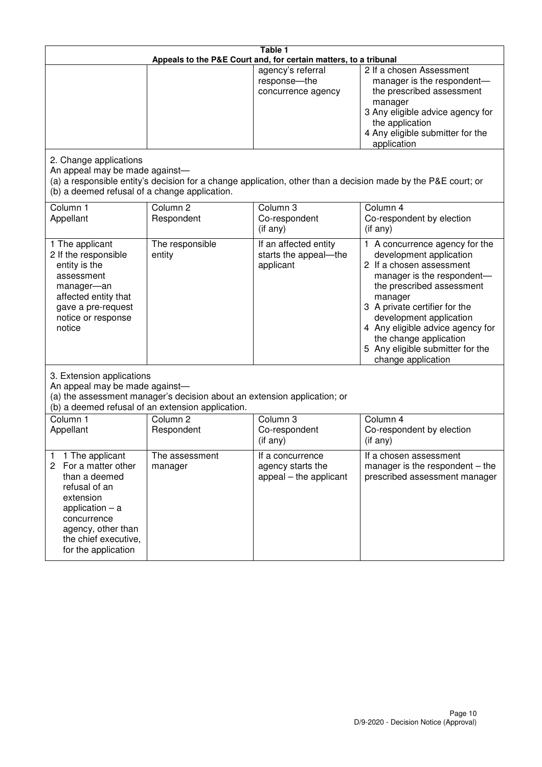| Table 1<br>Appeals to the P&E Court and, for certain matters, to a tribunal                                                                                                                             |                                                                                                                                                                                              |                                                                 |                                                                                                                                                                                                                                                                                                                                                 |  |  |
|---------------------------------------------------------------------------------------------------------------------------------------------------------------------------------------------------------|----------------------------------------------------------------------------------------------------------------------------------------------------------------------------------------------|-----------------------------------------------------------------|-------------------------------------------------------------------------------------------------------------------------------------------------------------------------------------------------------------------------------------------------------------------------------------------------------------------------------------------------|--|--|
|                                                                                                                                                                                                         |                                                                                                                                                                                              | agency's referral<br>response-the<br>concurrence agency         | 2 If a chosen Assessment<br>manager is the respondent-<br>the prescribed assessment<br>manager<br>3 Any eligible advice agency for<br>the application<br>4 Any eligible submitter for the<br>application                                                                                                                                        |  |  |
| 2. Change applications<br>An appeal may be made against-<br>(b) a deemed refusal of a change application.                                                                                               |                                                                                                                                                                                              |                                                                 | (a) a responsible entity's decision for a change application, other than a decision made by the P&E court; or                                                                                                                                                                                                                                   |  |  |
| Column 1<br>Appellant                                                                                                                                                                                   | Column <sub>2</sub><br>Respondent                                                                                                                                                            | Column 3<br>Co-respondent<br>(if any)                           | Column 4<br>Co-respondent by election<br>(if any)                                                                                                                                                                                                                                                                                               |  |  |
| 1 The applicant<br>2 If the responsible<br>entity is the<br>assessment<br>manager-an<br>affected entity that<br>gave a pre-request<br>notice or response<br>notice                                      | The responsible<br>entity                                                                                                                                                                    | If an affected entity<br>starts the appeal-the<br>applicant     | 1 A concurrence agency for the<br>development application<br>2 If a chosen assessment<br>manager is the respondent-<br>the prescribed assessment<br>manager<br>3 A private certifier for the<br>development application<br>4 Any eligible advice agency for<br>the change application<br>5 Any eligible submitter for the<br>change application |  |  |
|                                                                                                                                                                                                         | 3. Extension applications<br>An appeal may be made against-<br>(a) the assessment manager's decision about an extension application; or<br>(b) a deemed refusal of an extension application. |                                                                 |                                                                                                                                                                                                                                                                                                                                                 |  |  |
| Column 1<br>Appellant                                                                                                                                                                                   | Column <sub>2</sub><br>Respondent                                                                                                                                                            | Column 3<br>Co-respondent<br>(if any)                           | Column $\overline{4}$<br>Co-respondent by election<br>(if any)                                                                                                                                                                                                                                                                                  |  |  |
| 1 The applicant<br>1<br>2<br>For a matter other<br>than a deemed<br>refusal of an<br>extension<br>application $-$ a<br>concurrence<br>agency, other than<br>the chief executive,<br>for the application | The assessment<br>manager                                                                                                                                                                    | If a concurrence<br>agency starts the<br>appeal – the applicant | If a chosen assessment<br>manager is the respondent $-$ the<br>prescribed assessment manager                                                                                                                                                                                                                                                    |  |  |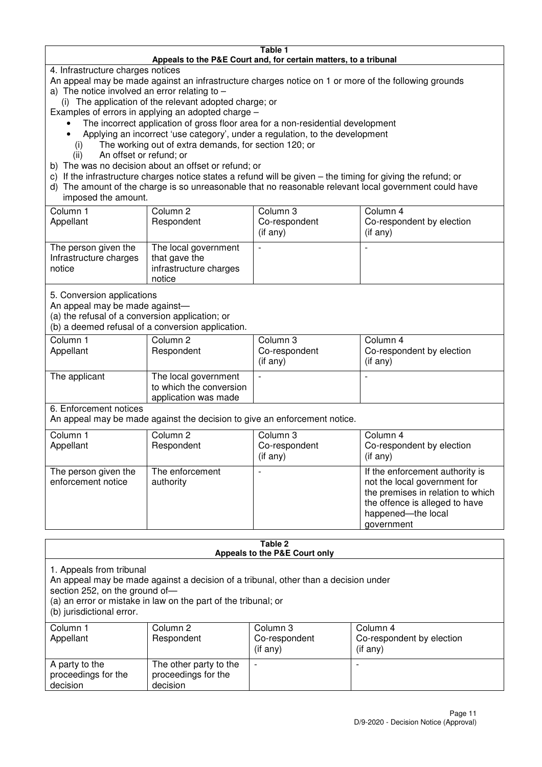#### **Table 1 Appeals to the P&E Court and, for certain matters, to a tribunal**

4. Infrastructure charges notices

- An appeal may be made against an infrastructure charges notice on 1 or more of the following grounds
- a) The notice involved an error relating to
	- (i) The application of the relevant adopted charge; or
- Examples of errors in applying an adopted charge
	- The incorrect application of gross floor area for a non-residential development
	- Applying an incorrect 'use category', under a regulation, to the development
	- (i) The working out of extra demands, for section 120; or
	- (ii) An offset or refund; or
- b) The was no decision about an offset or refund; or
- c) If the infrastructure charges notice states a refund will be given the timing for giving the refund; or
- d) The amount of the charge is so unreasonable that no reasonable relevant local government could have

## imposed the amount.

| Column 1<br>Appellant                                    | Column 2<br>Respondent                                                    | Column 3<br>Co-respondent<br>$($ if any $)$ | Column 4<br>Co-respondent by election<br>$($ if any $)$ |
|----------------------------------------------------------|---------------------------------------------------------------------------|---------------------------------------------|---------------------------------------------------------|
| The person given the<br>Infrastructure charges<br>notice | The local government<br>that gave the<br>infrastructure charges<br>notice |                                             | $\overline{\phantom{0}}$                                |

5. Conversion applications

An appeal may be made against—

(a) the refusal of a conversion application; or

(b) a deemed refusal of a conversion application.

| Column 1<br>Appellant | Column 2<br>Respondent                                                  | Column 3<br>Co-respondent<br>$($ if any $)$ | Column 4<br>Co-respondent by election<br>$($ if any $)$ |
|-----------------------|-------------------------------------------------------------------------|---------------------------------------------|---------------------------------------------------------|
| The applicant         | The local government<br>to which the conversion<br>application was made |                                             |                                                         |

6. Enforcement notices

An appeal may be made against the decision to give an enforcement notice.

| Column 1<br>Appellant                      | Column 2<br>Respondent       | Column 3<br>Co-respondent<br>$($ if any $)$ | Column 4<br>Co-respondent by election<br>(i f any)                                                                                                                         |
|--------------------------------------------|------------------------------|---------------------------------------------|----------------------------------------------------------------------------------------------------------------------------------------------------------------------------|
| The person given the<br>enforcement notice | The enforcement<br>authority |                                             | If the enforcement authority is<br>not the local government for<br>the premises in relation to which<br>the offence is alleged to have<br>happened-the local<br>government |

#### **Table 2 Appeals to the P&E Court only**

1. Appeals from tribunal

An appeal may be made against a decision of a tribunal, other than a decision under

section 252, on the ground of-

(a) an error or mistake in law on the part of the tribunal; or

(b) jurisdictional error.

| Column 1<br>Appellant                             | Column 2<br>Respondent                                    | Column 3<br>Co-respondent<br>(if any) | Column 4<br>Co-respondent by election<br>(i f any) |
|---------------------------------------------------|-----------------------------------------------------------|---------------------------------------|----------------------------------------------------|
| A party to the<br>proceedings for the<br>decision | The other party to the<br>proceedings for the<br>decision | $\overline{\phantom{0}}$              |                                                    |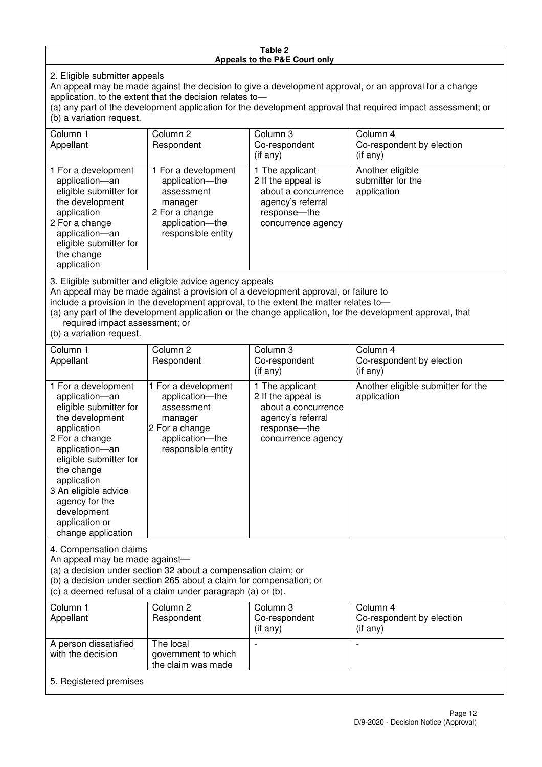#### **Table 2 Appeals to the P&E Court only**

2. Eligible submitter appeals

An appeal may be made against the decision to give a development approval, or an approval for a change application, to the extent that the decision relates to—

(a) any part of the development application for the development approval that required impact assessment; or (b) a variation request.

| Column 1                                                                                                                                                                                                                                                                                                                                                                               | Column 2                                                                                                                   | Column 3                                                                                                                | Column 4                                             |
|----------------------------------------------------------------------------------------------------------------------------------------------------------------------------------------------------------------------------------------------------------------------------------------------------------------------------------------------------------------------------------------|----------------------------------------------------------------------------------------------------------------------------|-------------------------------------------------------------------------------------------------------------------------|------------------------------------------------------|
| Appellant                                                                                                                                                                                                                                                                                                                                                                              | Respondent                                                                                                                 | Co-respondent                                                                                                           | Co-respondent by election                            |
|                                                                                                                                                                                                                                                                                                                                                                                        |                                                                                                                            | (if any)                                                                                                                | (i f any)                                            |
| 1 For a development<br>application-an<br>eligible submitter for<br>the development<br>application<br>2 For a change<br>application-an<br>eligible submitter for<br>the change<br>application                                                                                                                                                                                           | 1 For a development<br>application-the<br>assessment<br>manager<br>2 For a change<br>application-the<br>responsible entity | 1 The applicant<br>2 If the appeal is<br>about a concurrence<br>agency's referral<br>response-the<br>concurrence agency | Another eligible<br>submitter for the<br>application |
| 3. Eligible submitter and eligible advice agency appeals<br>An appeal may be made against a provision of a development approval, or failure to<br>include a provision in the development approval, to the extent the matter relates to-<br>(a) any part of the development application or the change application, for the development approval, that<br>required impact assessment; or |                                                                                                                            |                                                                                                                         |                                                      |

(b) a variation request.

5. Registered premises

| Column 1<br>Appellant                                                                                                                                                                                                                                                                         | Column 2<br>Respondent                                                                                                     | Column 3<br>Co-respondent<br>(if any)                                                                                     | Column 4<br>Co-respondent by election<br>(if any) |
|-----------------------------------------------------------------------------------------------------------------------------------------------------------------------------------------------------------------------------------------------------------------------------------------------|----------------------------------------------------------------------------------------------------------------------------|---------------------------------------------------------------------------------------------------------------------------|---------------------------------------------------|
| 1 For a development<br>application-an<br>eligible submitter for<br>the development<br>application<br>2 For a change<br>application-an<br>eligible submitter for<br>the change<br>application<br>3 An eligible advice<br>agency for the<br>development<br>application or<br>change application | 1 For a development<br>application-the<br>assessment<br>manager<br>2 For a change<br>application-the<br>responsible entity | 1 The applicant<br>2 If the appeal is<br>about a concurrence<br>agency's referral<br>response---the<br>concurrence agency | Another eligible submitter for the<br>application |
| 4. Compensation claims<br>An appeal may be made against-<br>(a) a decision under section 32 about a compensation claim; or<br>(b) a decision under section 265 about a claim for compensation; or<br>(c) a deemed refusal of a claim under paragraph (a) or (b).                              |                                                                                                                            |                                                                                                                           |                                                   |
| Column 1<br>Appellant                                                                                                                                                                                                                                                                         | Column <sub>2</sub><br>Respondent                                                                                          | Column 3<br>Co-respondent<br>(if any)                                                                                     | Column 4<br>Co-respondent by election<br>(if any) |
| A person dissatisfied<br>with the decision                                                                                                                                                                                                                                                    | The local<br>government to which                                                                                           |                                                                                                                           |                                                   |

the claim was made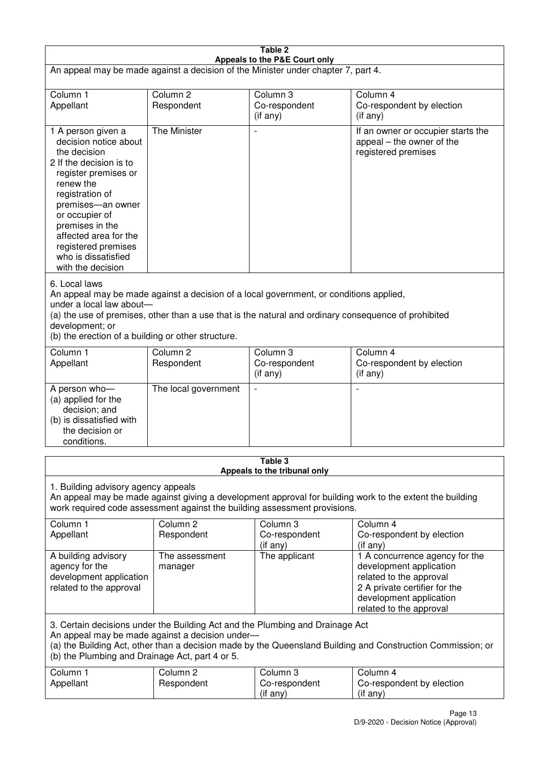| Table 2<br>Appeals to the P&E Court only                                                                                                                                                                                                                                                                             |                                   |                                       |                                                                                                                                                                             |  |
|----------------------------------------------------------------------------------------------------------------------------------------------------------------------------------------------------------------------------------------------------------------------------------------------------------------------|-----------------------------------|---------------------------------------|-----------------------------------------------------------------------------------------------------------------------------------------------------------------------------|--|
| An appeal may be made against a decision of the Minister under chapter 7, part 4.                                                                                                                                                                                                                                    |                                   |                                       |                                                                                                                                                                             |  |
| Column 1<br>Appellant                                                                                                                                                                                                                                                                                                | Column <sub>2</sub><br>Respondent | Column 3<br>Co-respondent<br>(if any) | Column 4<br>Co-respondent by election<br>$($ if any $)$                                                                                                                     |  |
| 1 A person given a<br>decision notice about<br>the decision<br>2 If the decision is to<br>register premises or<br>renew the<br>registration of<br>premises-an owner<br>or occupier of<br>premises in the<br>affected area for the<br>registered premises<br>who is dissatisfied<br>with the decision                 | The Minister                      |                                       | If an owner or occupier starts the<br>appeal – the owner of the<br>registered premises                                                                                      |  |
| 6. Local laws<br>An appeal may be made against a decision of a local government, or conditions applied,<br>under a local law about-<br>(a) the use of premises, other than a use that is the natural and ordinary consequence of prohibited<br>development; or<br>(b) the erection of a building or other structure. |                                   |                                       |                                                                                                                                                                             |  |
| Column 1<br>Appellant                                                                                                                                                                                                                                                                                                | Column <sub>2</sub><br>Respondent | Column 3<br>Co-respondent<br>(if any) | Column 4<br>Co-respondent by election<br>(if any)                                                                                                                           |  |
| A person who-<br>(a) applied for the<br>decision; and<br>(b) is dissatisfied with<br>the decision or<br>conditions.                                                                                                                                                                                                  | The local government              | $\overline{\phantom{a}}$              |                                                                                                                                                                             |  |
| Table 3<br>Appeals to the tribunal only                                                                                                                                                                                                                                                                              |                                   |                                       |                                                                                                                                                                             |  |
| 1. Building advisory agency appeals<br>An appeal may be made against giving a development approval for building work to the extent the building<br>work required code assessment against the building assessment provisions.                                                                                         |                                   |                                       |                                                                                                                                                                             |  |
| Column 1<br>Appellant                                                                                                                                                                                                                                                                                                | Column <sub>2</sub><br>Respondent | Column 3<br>Co-respondent<br>(if any) | Column 4<br>Co-respondent by election<br>(if any)                                                                                                                           |  |
| A building advisory<br>agency for the<br>development application<br>related to the approval                                                                                                                                                                                                                          | The assessment<br>manager         | The applicant                         | 1 A concurrence agency for the<br>development application<br>related to the approval<br>2 A private certifier for the<br>development application<br>related to the approval |  |
| 3. Certain decisions under the Building Act and the Plumbing and Drainage Act<br>An appeal may be made against a decision under-<br>(a) the Building Act, other than a decision made by the Queensland Building and Construction Commission; or<br>(b) the Plumbing and Drainage Act, part 4 or 5.                   |                                   |                                       |                                                                                                                                                                             |  |
| Column 1<br>Appellant                                                                                                                                                                                                                                                                                                | Column <sub>2</sub><br>Respondent | Column 3<br>Co-respondent<br>(if any) | Column 4<br>Co-respondent by election<br>(if any)                                                                                                                           |  |